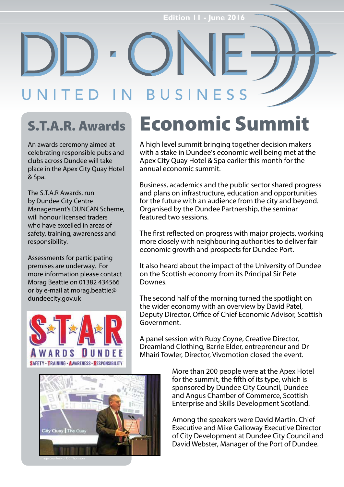**Edition 11 - June 2016**

### BUSINESS TED

# S.T.A.R. Awards

An awards ceremony aimed at celebrating responsible pubs and clubs across Dundee will take place in the Apex City Quay Hotel & Spa.

The S.T.A.R Awards, run by Dundee City Centre Management's DUNCAN Scheme, will honour licensed traders who have excelled in areas of safety, training, awareness and responsibility.

Assessments for participating premises are underway. For more information please contact Morag Beattie on 01382 434566 or by e-mail at morag.beattie@ dundeecity.gov.uk



# Economic Summit

A high level summit bringing together decision makers with a stake in Dundee's economic well being met at the Apex City Quay Hotel & Spa earlier this month for the annual economic summit.

Business, academics and the public sector shared progress and plans on infrastructure, education and opportunities for the future with an audience from the city and beyond. Organised by the Dundee Partnership, the seminar featured two sessions.

The first reflected on progress with major projects, working more closely with neighbouring authorities to deliver fair economic growth and prospects for Dundee Port.

It also heard about the impact of the University of Dundee on the Scottish economy from its Principal Sir Pete Downes.

The second half of the morning turned the spotlight on the wider economy with an overview by David Patel, Deputy Director, Office of Chief Economic Advisor, Scottish Government.

A panel session with Ruby Coyne, Creative Director, Dreamland Clothing, Barrie Elder, entrepreneur and Dr Mhairi Towler, Director, Vivomotion closed the event.

**COL** City Quay | The Qu More than 200 people were at the Apex Hotel for the summit, the fifth of its type, which is sponsored by Dundee City Council, Dundee and Angus Chamber of Commerce, Scottish Enterprise and Skills Development Scotland.

Among the speakers were David Martin, Chief Executive and Mike Galloway Executive Director of City Development at Dundee City Council and David Webster, Manager of the Port of Dundee.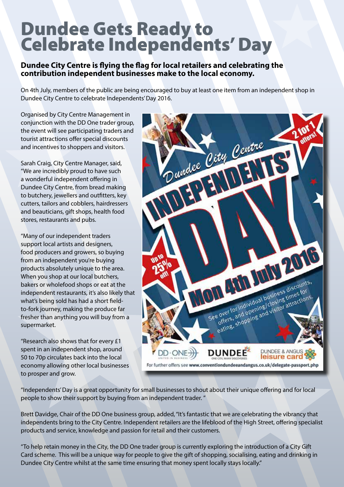# Dundee Gets Ready to Celebrate Independents' Day

#### **Dundee City Centre is flying the flag for local retailers and celebrating the contribution independent businesses make to the local economy.**

On 4th July, members of the public are being encouraged to buy at least one item from an independent shop in Dundee City Centre to celebrate Independents' Day 2016.

Organised by City Centre Management in conjunction with the DD One trader group, the event will see participating traders and tourist attractions offer special discounts and incentives to shoppers and visitors.

Sarah Craig, City Centre Manager, said, ''We are incredibly proud to have such a wonderful independent offering in Dundee City Centre, from bread making to butchery, jewellers and outfitters, key cutters, tailors and cobblers, hairdressers and beauticians, gift shops, health food stores, restaurants and pubs.

''Many of our independent traders support local artists and designers, food producers and growers, so buying from an independent you're buying products absolutely unique to the area. When you shop at our local butchers, bakers or wholefood shops or eat at the independent restaurants, it's also likely that what's being sold has had a short fieldto-fork journey, making the produce far fresher than anything you will buy from a supermarket.

''Research also shows that for every £1 spent in an independent shop, around 50 to 70p circulates back into the local economy allowing other local businesses to prosper and grow.



''Independents' Day is a great opportunity for small businesses to shout about their unique offering and for local people to show their support by buying from an independent trader. ''

Brett Davidge, Chair of the DD One business group, added, ''It's fantastic that we are celebrating the vibrancy that independents bring to the City Centre. Independent retailers are the lifeblood of the High Street, offering specialist products and service, knowledge and passion for retail and their customers.

''To help retain money in the City, the DD One trader group is currently exploring the introduction of a City Gift Card scheme. This will be a unique way for people to give the gift of shopping, socialising, eating and drinking in Dundee City Centre whilst at the same time ensuring that money spent locally stays locally.''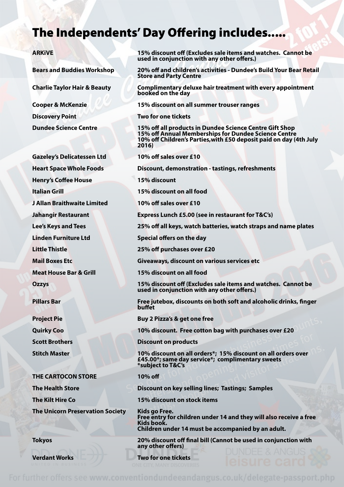### The Independents' Day Offering includes.....

**Discovery Point Two for one tickets**

**Gazeley's Delicatessen Ltd 10% off sales over £10 Henry's Coffee House 15% discount Italian Grill 15% discount on all food J Allan Braithwaite Limited 10% off sales over £10 Linden Furniture Ltd Special offers on the day Little Thistle 25% off purchases over £20 Meat House Bar & Grill 15% discount on all food**

**THE CARTOCON STORE 10% off The Kilt Hire Co 15% discount on stock items The Unicorn Preservation Society Kids go Free.**

**ARKiVE 15% discount off (Excludes sale items and watches. Cannot be used in conjunction with any other offers.)**

**Bears and Buddies Workshop 20% off and children's activities - Dundee's Build Your Bear Retail Store and Party Centre**

**Charlie Taylor Hair & Beauty Complimentary deluxe hair treatment with every appointment booked on the day**

**Cooper & McKenzie 15% discount on all summer trouser ranges**

**Dundee Science Centre 15% off all products in Dundee Science Centre Gift Shop 15% off Annual Memberships for Dundee Science Centre 10% off Children's Parties,with £50 deposit paid on day (4th July 2016)**

**Heart Space Whole Foods Discount, demonstration - tastings, refreshments**

**Jahangir Restaurant Express Lunch £5.00 (see in restaurant for T&C's)**

**Lee's Keys and Tees 25% off all keys, watch batteries, watch straps and name plates**

**Mail Boxes Etc Giveaways, discount on various services etc**

**Ozzys 15% discount off (Excludes sale items and watches. Cannot be used in conjunction with any other offers.)**

**Pillars Bar Free jutebox, discounts on both soft and alcoholic drinks, finger buffet**

**Project Pie <b>Buy 2 Pizza's & get one free** 

**Quirky Coo 10% discount. Free cotton bag with purchases over £20**

**Scott Brothers Discount on products**

**Stitch Master 10% discount on all orders\*; 15% discount on all orders over £45.00\*; same day service\*; complimentary sweets \*subject to T&C's**

**The Health Store Discount on key selling lines; Tastings; Samples**

**Free entry for children under 14 and they will also receive a free Kids book. Children under 14 must be accompanied by an adult.**

**Tokyos 20% discount off final bill (Cannot be used in conjunction with any other offers)**

**Verdant Works Two for one tickets**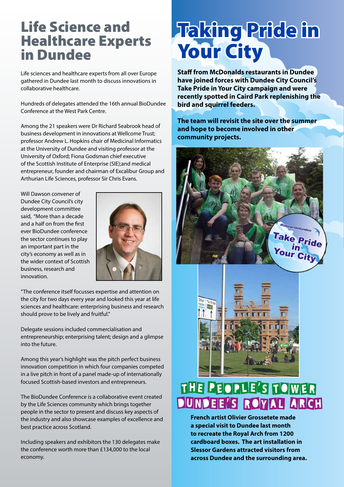# Life Science and Healthcare Experts in Dundee

Life sciences and healthcare experts from all over Europe gathered in Dundee last month to discuss innovations in collaborative healthcare.

Hundreds of delegates attended the 16th annual BioDundee Conference at the West Park Centre.

Among the 21 speakers were Dr Richard Seabrook head of business development in innovations at Wellcome Trust; professor Andrew L. Hopkins chair of Medicinal Informatics at the University of Dundee and visiting professor at the University of Oxford; Fiona Godsman chief executive of the Scottish Institute of Enterprise (SIE);and medical entrepreneur, founder and chairman of Excalibur Group and Arthurian Life Sciences, professor Sir Chris Evans.

Will Dawson convener of Dundee City Council's city development committee said, "More than a decade and a half on from the first ever BioDundee conference the sector continues to play an important part in the city's economy as well as in the wider context of Scottish business, research and innovation.



"The conference itself focusses expertise and attention on the city for two days every year and looked this year at life sciences and healthcare: enterprising business and research should prove to be lively and fruitful."

Delegate sessions included commercialisation and entrepreneurship; enterprising talent; design and a glimpse into the future.

Among this year's highlight was the pitch perfect business innovation competition in which four companies competed in a live pitch in front of a panel made-up of internationally focused Scottish-based investors and entrepreneurs.

The BioDundee Conference is a collaborative event created by the Life Sciences community which brings together people in the sector to present and discuss key aspects of the industry and also showcase examples of excellence and best practice across Scotland.

Including speakers and exhibitors the 130 delegates make the conference worth more than £134,000 to the local economy.

# Taking Pride in **Your City**

**Staff from McDonalds restaurants in Dundee have joined forces with Dundee City Council's Take Pride in Your City campaign and were recently spotted in Caird Park replenishing the bird and squirrel feeders.** 

**The team will revisit the site over the summer and hope to become involved in other community projects.**





# THE PEOPLE'S TOWER **JUNDEE'S ROYAL ARGH**

**French artist Olivier Grossetete made a special visit to Dundee last month to recreate the Royal Arch from 1200 cardboard boxes. The art installation in Slessor Gardens attracted visitors from across Dundee and the surrounding area.**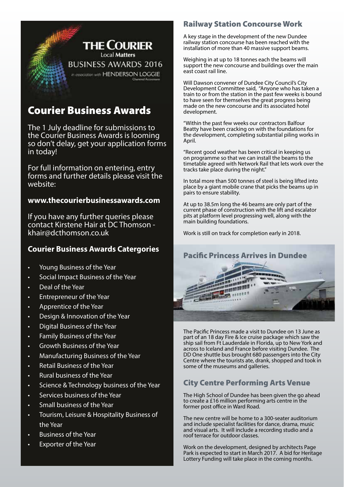

### Courier Business Awards

The 1 July deadline for submissions to the Courier Business Awards is looming so don't delay, get your application forms in today!

For full information on entering, entry forms and further details please visit the website:

#### **www.thecourierbusinessawards.com**

If you have any further queries please contact Kirstene Hair at DC Thomson khair@dcthomson.co.uk

#### **Courier Business Awards Catergories**

- Young Business of the Year
- Social Impact Business of the Year
- Deal of the Year
- Entrepreneur of the Year
- Apprentice of the Year
- Design & Innovation of the Year
- Digital Business of the Year
- Family Business of the Year
- Growth Business of the Year
- Manufacturing Business of the Year
- Retail Business of the Year
- Rural business of the Year
- Science & Technology business of the Year
- Services business of the Year
- Small business of the Year
- Tourism, Leisure & Hospitality Business of the Year
- Business of the Year
- Exporter of the Year

#### Railway Station Concourse Work

A key stage in the development of the new Dundee railway station concourse has been reached with the installation of more than 40 massive support beams.

Weighing in at up to 18 tonnes each the beams will support the new concourse and buildings over the main east coast rail line.

Will Dawson convener of Dundee City Council's City Development Committee said, "Anyone who has taken a train to or from the station in the past few weeks is bound to have seen for themselves the great progress being made on the new concourse and its associated hotel development.

"Within the past few weeks our contractors Balfour Beatty have been cracking on with the foundations for the development, completing substantial piling works in April.

"Recent good weather has been critical in keeping us on programme so that we can install the beams to the timetable agreed with Network Rail that lets work over the tracks take place during the night."

In total more than 500 tonnes of steel is being lifted into place by a giant mobile crane that picks the beams up in pairs to ensure stability.

At up to 38.5m long the 46 beams are only part of the current phase of construction with the lift and escalator pits at platform level progressing well, along with the main building foundations.

Work is still on track for completion early in 2018.

#### Pacific Princess Arrives in Dundee



The Pacific Princess made a visit to Dundee on 13 June as part of an 18 day Fire & Ice cruise package which saw the ship sail from Ft Lauderdale in Florida, up to New York and across to Iceland and France before visiting Dundee. The DD One shuttle bus brought 680 passengers into the City Centre where the tourists ate, drank, shopped and took in some of the museums and galleries.

### City Centre Performing Arts Venue

The High School of Dundee has been given the go ahead to create a £16 million performing arts centre in the former post office in Ward Road.

The new centre will be home to a 300-seater auditorium and include specialist facilities for dance, drama, music and visual arts. It will include a recording studio and a roof terrace for outdoor classes.

Work on the development, designed by architects Page Park is expected to start in March 2017. A bid for Heritage Lottery Funding will take place in the coming months.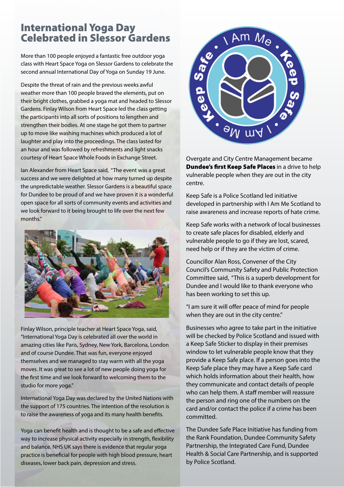### International Yoga Day Celebrated in Slessor Gardens

More than 100 people enjoyed a fantastic free outdoor yoga class with Heart Space Yoga on Slessor Gardens to celebrate the second annual International Day of Yoga on Sunday 19 June.

Despite the threat of rain and the previous weeks awful weather more than 100 people braved the elements, put on their bright clothes, grabbed a yoga mat and headed to Slessor Gardens. Finlay Wilson from Heart Space led the class getting the participants into all sorts of positions to lengthen and strengthen their bodies. At one stage he got them to partner up to move like washing machines which produced a lot of laughter and play into the proceedings. The class lasted for an hour and was followed by refreshments and light snacks courtesy of Heart Space Whole Foods in Exchange Street.

Ian Alexander from Heart Space said, "The event was a great success and we were delighted at how many turned up despite the unpredictable weather. Slessor Gardens is a beautiful space for Dundee to be proud of and we have proven it is a wonderful open space for all sorts of community events and activities and we look forward to it being brought to life over the next few months.''



Finlay Wilson, principle teacher at Heart Space Yoga, said, "International Yoga Day is celebrated all over the world in amazing cities like Paris, Sydney, New York, Barcelona, London and of course Dundee. That was fun, everyone enjoyed themselves and we managed to stay warm with all the yoga moves. It was great to see a lot of new people doing yoga for the first time and we look forward to welcoming them to the studio for more yoga.''

International Yoga Day was declared by the United Nations with the support of 175 countries. The intention of the resolution is to raise the awareness of yoga and its many health benefits.

Yoga can benefit health and is thought to be a safe and effective way to increase physical activity especially in strength, flexibility and balance. NHS UK says there is evidence that regular yoga practice is beneficial for people with high blood pressure, heart diseases, lower back pain, depression and stress.



Overgate and City Centre Management became **Dundee's first Keep Safe Places** in a drive to help vulnerable people when they are out in the city centre.

Keep Safe is a Police Scotland led initiative developed in partnership with I Am Me Scotland to raise awareness and increase reports of hate crime.

Keep Safe works with a network of local businesses to create safe places for disabled, elderly and vulnerable people to go if they are lost, scared, need help or if they are the victim of crime.

Councillor Alan Ross, Convener of the City Council's Community Safety and Public Protection Committee said, "This is a superb development for Dundee and I would like to thank everyone who has been working to set this up.

"I am sure it will offer peace of mind for people when they are out in the city centre."

Businesses who agree to take part in the initiative will be checked by Police Scotland and issued with a Keep Safe Sticker to display in their premises window to let vulnerable people know that they provide a Keep Safe place. If a person goes into the Keep Safe place they may have a Keep Safe card which holds information about their health, how they communicate and contact details of people who can help them. A staff member will reassure the person and ring one of the numbers on the card and/or contact the police if a crime has been committed.

The Dundee Safe Place Initiative has funding from the Rank Foundation, Dundee Community Safety Partnership, the Integrated Care Fund, Dundee Health & Social Care Partnership, and is supported by Police Scotland.